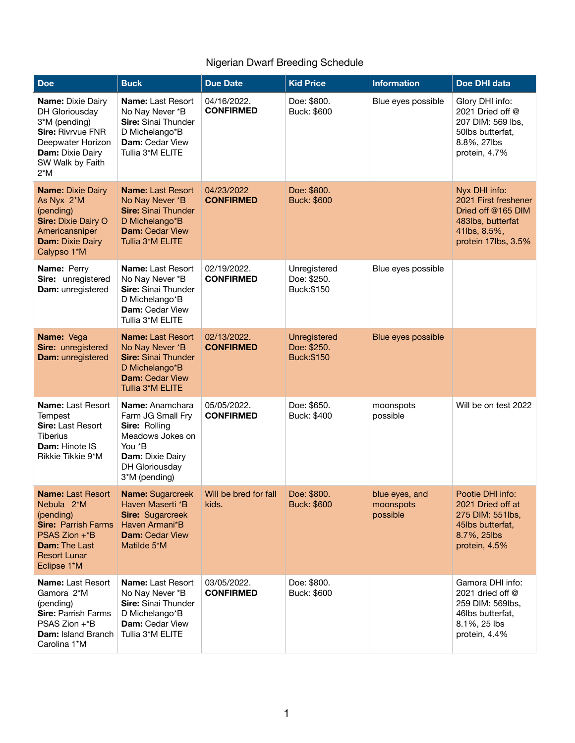## Nigerian Dwarf Breeding Schedule

| <b>Doe</b>                                                                                                                                                                    | <b>Buck</b>                                                                                                                                            | <b>Due Date</b>                 | <b>Kid Price</b>                                 | <b>Information</b>                      | Doe DHI data                                                                                                            |
|-------------------------------------------------------------------------------------------------------------------------------------------------------------------------------|--------------------------------------------------------------------------------------------------------------------------------------------------------|---------------------------------|--------------------------------------------------|-----------------------------------------|-------------------------------------------------------------------------------------------------------------------------|
| <b>Name: Dixie Dairy</b><br>DH Gloriousday<br>3*M (pending)<br><b>Sire: Rivryue FNR</b><br>Deepwater Horizon<br><b>Dam: Dixie Dairy</b><br>SW Walk by Faith<br>$2^*M$         | <b>Name: Last Resort</b><br>No Nay Never *B<br>Sire: Sinai Thunder<br>D Michelango*B<br><b>Dam:</b> Cedar View<br>Tullia 3*M ELITE                     | 04/16/2022.<br><b>CONFIRMED</b> | Doe: \$800.<br>Buck: \$600                       | Blue eyes possible                      | Glory DHI info:<br>2021 Dried off @<br>207 DIM: 569 lbs,<br>50lbs butterfat,<br>8.8%, 27lbs<br>protein, 4.7%            |
| <b>Name: Dixie Dairy</b><br>As Nyx 2*M<br>(pending)<br><b>Sire: Dixie Dairy O</b><br>Americansniper<br><b>Dam: Dixie Dairy</b><br>Calypso 1*M                                 | <b>Name: Last Resort</b><br>No Nay Never *B<br><b>Sire: Sinai Thunder</b><br>D Michelango*B<br><b>Dam: Cedar View</b><br>Tullia 3*M ELITE              | 04/23/2022<br><b>CONFIRMED</b>  | Doe: \$800.<br><b>Buck: \$600</b>                |                                         | Nyx DHI info:<br>2021 First freshener<br>Dried off @165 DIM<br>483lbs, butterfat<br>41lbs, 8.5%,<br>protein 17lbs, 3.5% |
| Name: Perry<br>Sire: unregistered<br>Dam: unregistered                                                                                                                        | Name: Last Resort<br>No Nay Never *B<br>Sire: Sinai Thunder<br>D Michelango*B<br>Dam: Cedar View<br>Tullia 3*M ELITE                                   | 02/19/2022.<br><b>CONFIRMED</b> | Unregistered<br>Doe: \$250.<br>Buck:\$150        | Blue eyes possible                      |                                                                                                                         |
| Name: Vega<br>Sire: unregistered<br>Dam: unregistered                                                                                                                         | <b>Name: Last Resort</b><br>No Nay Never *B<br><b>Sire: Sinai Thunder</b><br>D Michelango*B<br><b>Dam: Cedar View</b><br>Tullia 3 <sup>*</sup> M ELITE | 02/13/2022.<br><b>CONFIRMED</b> | Unregistered<br>Doe: \$250.<br><b>Buck:\$150</b> | Blue eyes possible                      |                                                                                                                         |
| Name: Last Resort<br>Tempest<br>Sire: Last Resort<br><b>Tiberius</b><br>Dam: Hinote IS<br>Rikkie Tikkie 9*M                                                                   | Name: Anamchara<br>Farm JG Small Fry<br>Sire: Rolling<br>Meadows Jokes on<br>You *B<br><b>Dam: Dixie Dairy</b><br>DH Gloriousday<br>3*M (pending)      | 05/05/2022.<br><b>CONFIRMED</b> | Doe: \$650.<br>Buck: \$400                       | moonspots<br>possible                   | Will be on test 2022                                                                                                    |
| <b>Name: Last Resort</b><br>Nebula 2 <sup>*</sup> M<br>(pending)<br><b>Sire: Parrish Farms</b><br>PSAS Zion +*B<br><b>Dam: The Last</b><br><b>Resort Lunar</b><br>Eclipse 1*M | <b>Name: Sugarcreek</b><br>Haven Maserti *B<br><b>Sire: Sugarcreek</b><br>Haven Armani*B<br><b>Dam: Cedar View</b><br>Matilde 5*M                      | Will be bred for fall<br>kids.  | Doe: \$800.<br><b>Buck: \$600</b>                | blue eyes, and<br>moonspots<br>possible | Pootie DHI info:<br>2021 Dried off at<br>275 DIM: 551lbs,<br>45lbs butterfat,<br>8.7%, 25lbs<br>protein, 4.5%           |
| <b>Name: Last Resort</b><br>Gamora 2*M<br>(pending)<br><b>Sire: Parrish Farms</b><br>PSAS Zion +*B<br>Dam: Island Branch<br>Carolina 1*M                                      | <b>Name:</b> Last Resort<br>No Nay Never *B<br>Sire: Sinai Thunder<br>D Michelango*B<br>Dam: Cedar View<br>Tullia 3*M ELITE                            | 03/05/2022.<br><b>CONFIRMED</b> | Doe: \$800.<br>Buck: \$600                       |                                         | Gamora DHI info:<br>2021 dried off $@$<br>259 DIM: 569lbs,<br>46lbs butterfat,<br>8.1%, 25 lbs<br>protein, 4.4%         |